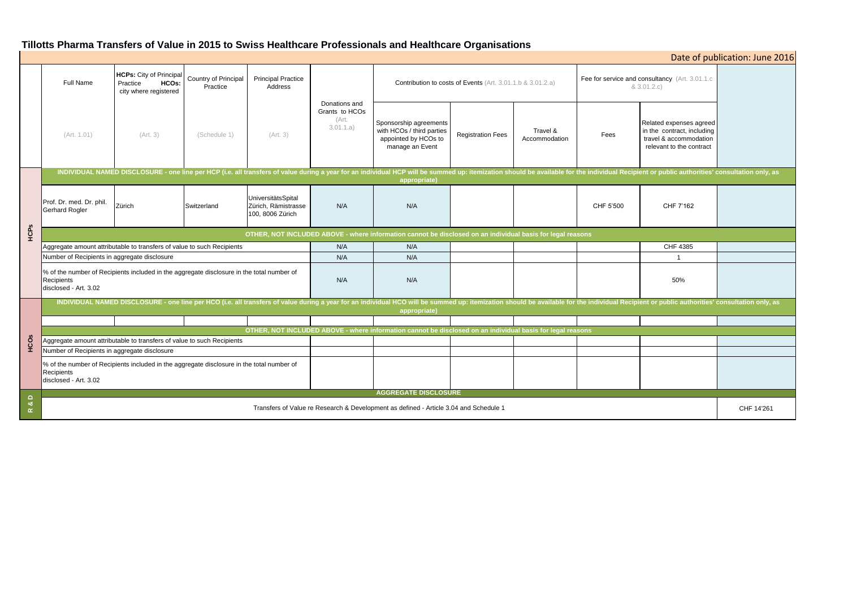# **Tillotts Pharma Transfers of Value in 2015 to Swiss Healthcare Professionals and Healthcare Organisations**

| Date of publication: June 2016         |                                                                                                                                                                                                                                                |                                                                              |                                  |                                                               |                                                       |                                                                                                |                          |                           |                                                                |                                                                                                             |            |
|----------------------------------------|------------------------------------------------------------------------------------------------------------------------------------------------------------------------------------------------------------------------------------------------|------------------------------------------------------------------------------|----------------------------------|---------------------------------------------------------------|-------------------------------------------------------|------------------------------------------------------------------------------------------------|--------------------------|---------------------------|----------------------------------------------------------------|-------------------------------------------------------------------------------------------------------------|------------|
|                                        | Full Name                                                                                                                                                                                                                                      | <b>HCPs:</b> City of Principal<br>HCOs:<br>Practice<br>city where registered | Country of Principal<br>Practice | <b>Principal Practice</b><br>Address                          |                                                       | Contribution to costs of Events (Art. 3.01.1.b & 3.01.2.a)                                     |                          |                           | Fee for service and consultancy (Art. 3.01.1.c)<br>& 3.01.2.c) |                                                                                                             |            |
|                                        | (Art. 1.01)                                                                                                                                                                                                                                    | (Art. 3)                                                                     | (Schedule 1)                     | (Art. 3)                                                      | Donations and<br>Grants to HCOs<br>(Art.<br>3.01.1.a) | Sponsorship agreements<br>with HCOs / third parties<br>appointed by HCOs to<br>manage an Event | <b>Registration Fees</b> | Travel &<br>Accommodation | Fees                                                           | Related expenses agreed<br>in the contract, including<br>travel & accommodation<br>relevant to the contract |            |
|                                        | INDIVIDUAL NAMED DISCLOSURE - one line per HCP (i.e. all transfers of value during a year for an individual HCP will be summed up: itemization should be available for the individual Recipient or public authorities' consult<br>appropriate) |                                                                              |                                  |                                                               |                                                       |                                                                                                |                          |                           |                                                                |                                                                                                             |            |
|                                        | Prof. Dr. med. Dr. phil.<br>Gerhard Rogler                                                                                                                                                                                                     | Zürich                                                                       | Switzerland                      | UniversitätsSpital<br>Zürich, Rämistrasse<br>100, 8006 Zürich | N/A                                                   | N/A                                                                                            |                          |                           | CHF 5'500                                                      | CHF 7'162                                                                                                   |            |
| HCPs                                   | OTHER, NOT INCLUDED ABOVE - where information cannot be disclosed on an individual basis for legal reasons                                                                                                                                     |                                                                              |                                  |                                                               |                                                       |                                                                                                |                          |                           |                                                                |                                                                                                             |            |
|                                        | Aggregate amount attributable to transfers of value to such Recipients                                                                                                                                                                         |                                                                              |                                  |                                                               | N/A                                                   | N/A                                                                                            |                          |                           |                                                                | CHF 4385                                                                                                    |            |
|                                        | Number of Recipients in aggregate disclosure                                                                                                                                                                                                   |                                                                              |                                  |                                                               | N/A                                                   | N/A                                                                                            |                          |                           |                                                                | $\overline{1}$                                                                                              |            |
|                                        | % of the number of Recipients included in the aggregate disclosure in the total number of<br>Recipients<br>disclosed - Art. 3.02                                                                                                               |                                                                              |                                  |                                                               | N/A                                                   | N/A                                                                                            |                          |                           |                                                                | 50%                                                                                                         |            |
|                                        | INDIVIDUAL NAMED DISCLOSURE - one line per HCO (i.e. all transfers of value during a year for an individual HCO will be summed up: itemization should be available for the individual Recipient or public authorities' consult<br>appropriate) |                                                                              |                                  |                                                               |                                                       |                                                                                                |                          |                           |                                                                |                                                                                                             |            |
|                                        |                                                                                                                                                                                                                                                |                                                                              |                                  |                                                               |                                                       |                                                                                                |                          |                           |                                                                |                                                                                                             |            |
|                                        | OTHER, NOT INCLUDED ABOVE - where information cannot be disclosed on an individual basis for legal reasons                                                                                                                                     |                                                                              |                                  |                                                               |                                                       |                                                                                                |                          |                           |                                                                |                                                                                                             |            |
| HCOS                                   | Aggregate amount attributable to transfers of value to such Recipients                                                                                                                                                                         |                                                                              |                                  |                                                               |                                                       |                                                                                                |                          |                           |                                                                |                                                                                                             |            |
|                                        | Number of Recipients in aggregate disclosure                                                                                                                                                                                                   |                                                                              |                                  |                                                               |                                                       |                                                                                                |                          |                           |                                                                |                                                                                                             |            |
|                                        | % of the number of Recipients included in the aggregate disclosure in the total number of<br>Recipients<br>disclosed - Art. 3.02                                                                                                               |                                                                              |                                  |                                                               |                                                       |                                                                                                |                          |                           |                                                                |                                                                                                             |            |
| $\Omega$<br>න්<br>$\underline{\alpha}$ | <b>AGGREGATE DISCLOSURE</b>                                                                                                                                                                                                                    |                                                                              |                                  |                                                               |                                                       |                                                                                                |                          |                           |                                                                |                                                                                                             |            |
|                                        | Transfers of Value re Research & Development as defined - Article 3.04 and Schedule 1                                                                                                                                                          |                                                                              |                                  |                                                               |                                                       |                                                                                                |                          |                           |                                                                |                                                                                                             | CHF 14'261 |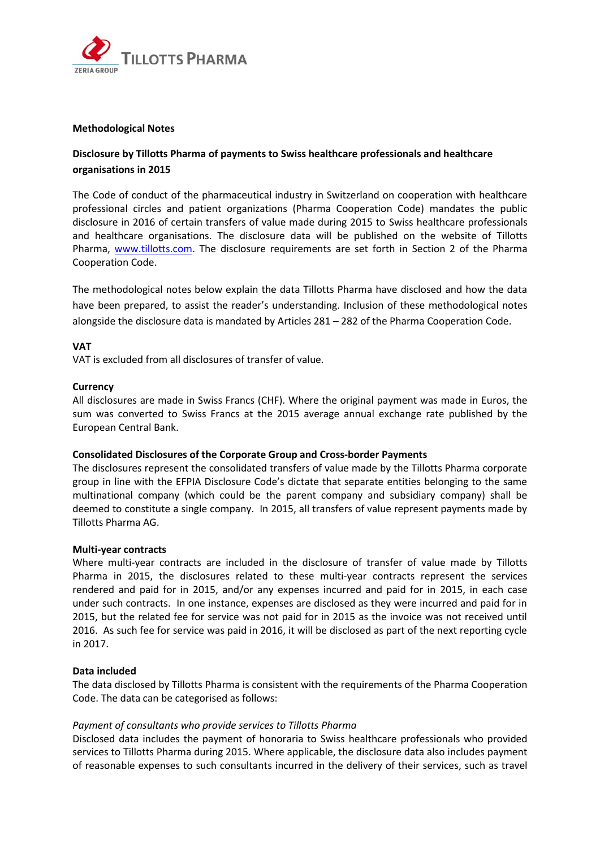

# **Methodological Notes**

# **Disclosure by Tillotts Pharma of payments to Swiss healthcare professionals and healthcare organisations in 2015**

The Code of conduct of the pharmaceutical industry in Switzerland on cooperation with healthcare professional circles and patient organizations (Pharma Cooperation Code) mandates the public disclosure in 2016 of certain transfers of value made during 2015 to Swiss healthcare professionals and healthcare organisations. The disclosure data will be published on the website of Tillotts Pharma, [www.tillotts.com.](http://www.tillotts.com/) The disclosure requirements are set forth in Section 2 of the Pharma Cooperation Code.

The methodological notes below explain the data Tillotts Pharma have disclosed and how the data have been prepared, to assist the reader's understanding. Inclusion of these methodological notes alongside the disclosure data is mandated by Articles 281 – 282 of the Pharma Cooperation Code.

#### **VAT**

VAT is excluded from all disclosures of transfer of value.

#### **Currency**

All disclosures are made in Swiss Francs (CHF). Where the original payment was made in Euros, the sum was converted to Swiss Francs at the 2015 average annual exchange rate published by the European Central Bank.

# **Consolidated Disclosures of the Corporate Group and Cross-border Payments**

The disclosures represent the consolidated transfers of value made by the Tillotts Pharma corporate group in line with the EFPIA Disclosure Code's dictate that separate entities belonging to the same multinational company (which could be the parent company and subsidiary company) shall be deemed to constitute a single company. In 2015, all transfers of value represent payments made by Tillotts Pharma AG.

#### **Multi-year contracts**

Where multi-year contracts are included in the disclosure of transfer of value made by Tillotts Pharma in 2015, the disclosures related to these multi-year contracts represent the services rendered and paid for in 2015, and/or any expenses incurred and paid for in 2015, in each case under such contracts. In one instance, expenses are disclosed as they were incurred and paid for in 2015, but the related fee for service was not paid for in 2015 as the invoice was not received until 2016. As such fee for service was paid in 2016, it will be disclosed as part of the next reporting cycle in 2017.

# **Data included**

The data disclosed by Tillotts Pharma is consistent with the requirements of the Pharma Cooperation Code. The data can be categorised as follows:

# *Payment of consultants who provide services to Tillotts Pharma*

Disclosed data includes the payment of honoraria to Swiss healthcare professionals who provided services to Tillotts Pharma during 2015. Where applicable, the disclosure data also includes payment of reasonable expenses to such consultants incurred in the delivery of their services, such as travel